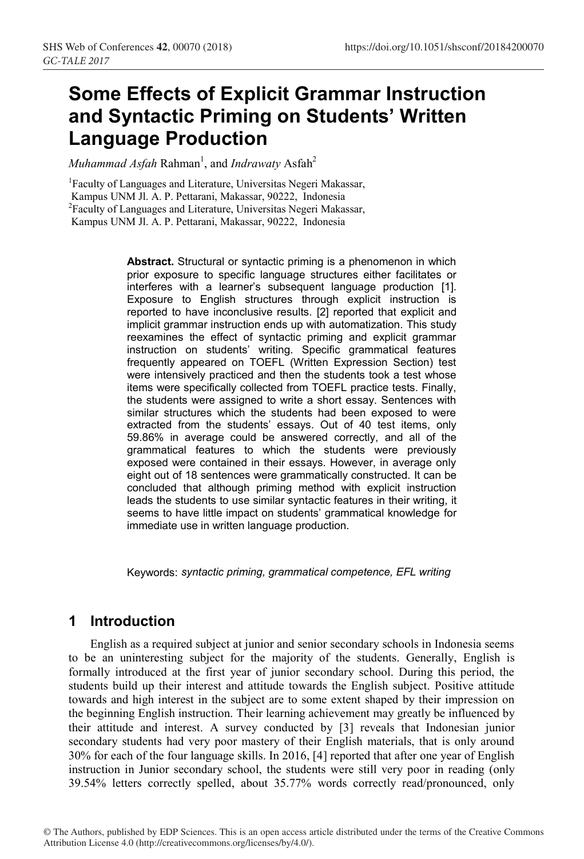# **Some Effects of Explicit Grammar Instruction and Syntactic Priming on Students' Written Language Production**

 $\mathit{Mu}$ *hammad Asfah* Rahman<sup>1</sup>, and *Indrawaty* Asfah<sup>2</sup>

1 Faculty of Languages and Literature, Universitas Negeri Makassar,

Kampus UNM Jl. A. P. Pettarani, Makassar, 90222, Indonesia <sup>2</sup>

<sup>2</sup>Faculty of Languages and Literature, Universitas Negeri Makassar,

Kampus UNM Jl. A. P. Pettarani, Makassar, 90222, Indonesia

**Abstract.** Structural or syntactic priming is a phenomenon in which prior exposure to specific language structures either facilitates or interferes with a learner's subsequent language production [1]. Exposure to English structures through explicit instruction is reported to have inconclusive results. [2] reported that explicit and implicit grammar instruction ends up with automatization. This study reexamines the effect of syntactic priming and explicit grammar instruction on students' writing. Specific grammatical features frequently appeared on TOEFL (Written Expression Section) test were intensively practiced and then the students took a test whose items were specifically collected from TOEFL practice tests. Finally, the students were assigned to write a short essay. Sentences with similar structures which the students had been exposed to were extracted from the students' essays. Out of 40 test items, only 59.86% in average could be answered correctly, and all of the grammatical features to which the students were previously exposed were contained in their essays. However, in average only eight out of 18 sentences were grammatically constructed. It can be concluded that although priming method with explicit instruction leads the students to use similar syntactic features in their writing, it seems to have little impact on students' grammatical knowledge for immediate use in written language production.

Keywords: *syntactic priming, grammatical competence, EFL writing*

### **1 Introduction**

English as a required subject at junior and senior secondary schools in Indonesia seems to be an uninteresting subject for the majority of the students. Generally, English is formally introduced at the first year of junior secondary school. During this period, the students build up their interest and attitude towards the English subject. Positive attitude towards and high interest in the subject are to some extent shaped by their impression on the beginning English instruction. Their learning achievement may greatly be influenced by their attitude and interest. A survey conducted by [3] reveals that Indonesian junior secondary students had very poor mastery of their English materials, that is only around 30% for each of the four language skills. In 2016, [4] reported that after one year of English instruction in Junior secondary school, the students were still very poor in reading (only 39.54% letters correctly spelled, about 35.77% words correctly read/pronounced, only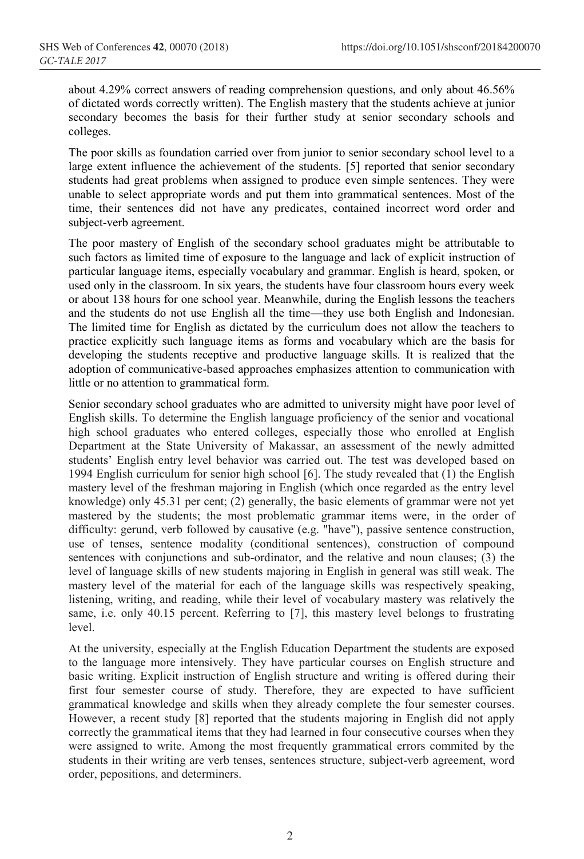about 4.29% correct answers of reading comprehension questions, and only about 46.56% of dictated words correctly written). The English mastery that the students achieve at junior secondary becomes the basis for their further study at senior secondary schools and colleges.

The poor skills as foundation carried over from junior to senior secondary school level to a large extent influence the achievement of the students. [5] reported that senior secondary students had great problems when assigned to produce even simple sentences. They were unable to select appropriate words and put them into grammatical sentences. Most of the time, their sentences did not have any predicates, contained incorrect word order and subject-verb agreement.

The poor mastery of English of the secondary school graduates might be attributable to such factors as limited time of exposure to the language and lack of explicit instruction of particular language items, especially vocabulary and grammar. English is heard, spoken, or used only in the classroom. In six years, the students have four classroom hours every week or about 138 hours for one school year. Meanwhile, during the English lessons the teachers and the students do not use English all the time—they use both English and Indonesian. The limited time for English as dictated by the curriculum does not allow the teachers to practice explicitly such language items as forms and vocabulary which are the basis for developing the students receptive and productive language skills. It is realized that the adoption of communicative-based approaches emphasizes attention to communication with little or no attention to grammatical form.

Senior secondary school graduates who are admitted to university might have poor level of English skills. To determine the English language proficiency of the senior and vocational high school graduates who entered colleges, especially those who enrolled at English Department at the State University of Makassar, an assessment of the newly admitted students' English entry level behavior was carried out. The test was developed based on 1994 English curriculum for senior high school [6]. The study revealed that (1) the English mastery level of the freshman majoring in English (which once regarded as the entry level knowledge) only 45.31 per cent; (2) generally, the basic elements of grammar were not yet mastered by the students; the most problematic grammar items were, in the order of difficulty: gerund, verb followed by causative (e.g. "have"), passive sentence construction, use of tenses, sentence modality (conditional sentences), construction of compound sentences with conjunctions and sub-ordinator, and the relative and noun clauses; (3) the level of language skills of new students majoring in English in general was still weak. The mastery level of the material for each of the language skills was respectively speaking, listening, writing, and reading, while their level of vocabulary mastery was relatively the same, i.e. only 40.15 percent. Referring to [7], this mastery level belongs to frustrating level.

At the university, especially at the English Education Department the students are exposed to the language more intensively. They have particular courses on English structure and basic writing. Explicit instruction of English structure and writing is offered during their first four semester course of study. Therefore, they are expected to have sufficient grammatical knowledge and skills when they already complete the four semester courses. However, a recent study [8] reported that the students majoring in English did not apply correctly the grammatical items that they had learned in four consecutive courses when they were assigned to write. Among the most frequently grammatical errors commited by the students in their writing are verb tenses, sentences structure, subject-verb agreement, word order, pepositions, and determiners.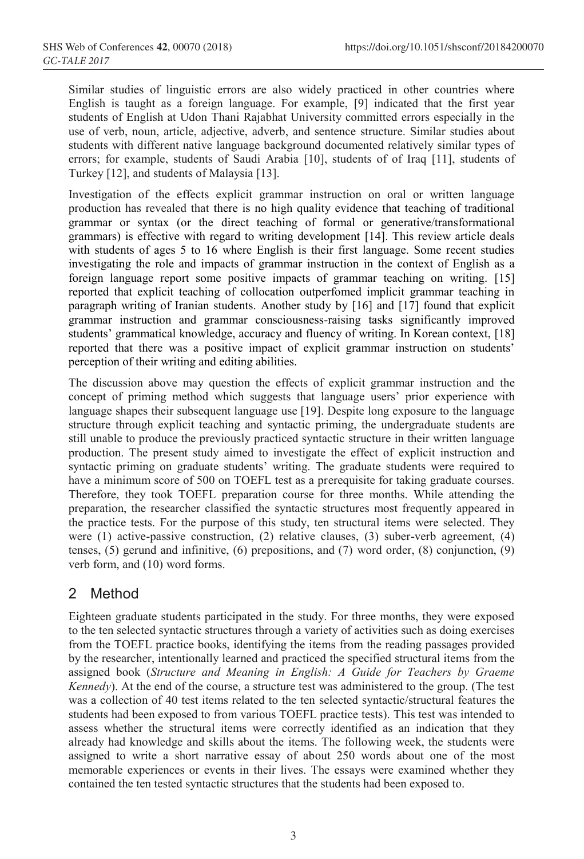Similar studies of linguistic errors are also widely practiced in other countries where English is taught as a foreign language. For example, [9] indicated that the first year students of English at Udon Thani Rajabhat University committed errors especially in the use of verb, noun, article, adjective, adverb, and sentence structure. Similar studies about students with different native language background documented relatively similar types of errors; for example, students of Saudi Arabia [10], students of of Iraq [11], students of Turkey [12], and students of Malaysia [13].

Investigation of the effects explicit grammar instruction on oral or written language production has revealed that there is no high quality evidence that teaching of traditional grammar or syntax (or the direct teaching of formal or generative/transformational grammars) is effective with regard to writing development [14]. This review article deals with students of ages 5 to 16 where English is their first language. Some recent studies investigating the role and impacts of grammar instruction in the context of English as a foreign language report some positive impacts of grammar teaching on writing. [15] reported that explicit teaching of collocation outperfomed implicit grammar teaching in paragraph writing of Iranian students. Another study by [16] and [17] found that explicit grammar instruction and grammar consciousness-raising tasks significantly improved students' grammatical knowledge, accuracy and fluency of writing. In Korean context, [18] reported that there was a positive impact of explicit grammar instruction on students' perception of their writing and editing abilities.

The discussion above may question the effects of explicit grammar instruction and the concept of priming method which suggests that language users' prior experience with language shapes their subsequent language use [19]. Despite long exposure to the language structure through explicit teaching and syntactic priming, the undergraduate students are still unable to produce the previously practiced syntactic structure in their written language production. The present study aimed to investigate the effect of explicit instruction and syntactic priming on graduate students' writing. The graduate students were required to have a minimum score of 500 on TOEFL test as a prerequisite for taking graduate courses. Therefore, they took TOEFL preparation course for three months. While attending the preparation, the researcher classified the syntactic structures most frequently appeared in the practice tests. For the purpose of this study, ten structural items were selected. They were (1) active-passive construction, (2) relative clauses, (3) suber-verb agreement, (4) tenses, (5) gerund and infinitive, (6) prepositions, and (7) word order, (8) conjunction, (9) verb form, and (10) word forms.

# 2 Method

Eighteen graduate students participated in the study. For three months, they were exposed to the ten selected syntactic structures through a variety of activities such as doing exercises from the TOEFL practice books, identifying the items from the reading passages provided by the researcher, intentionally learned and practiced the specified structural items from the assigned book (*Structure and Meaning in English: A Guide for Teachers by Graeme Kennedy*). At the end of the course, a structure test was administered to the group. (The test was a collection of 40 test items related to the ten selected syntactic/structural features the students had been exposed to from various TOEFL practice tests). This test was intended to assess whether the structural items were correctly identified as an indication that they already had knowledge and skills about the items. The following week, the students were assigned to write a short narrative essay of about 250 words about one of the most memorable experiences or events in their lives. The essays were examined whether they contained the ten tested syntactic structures that the students had been exposed to.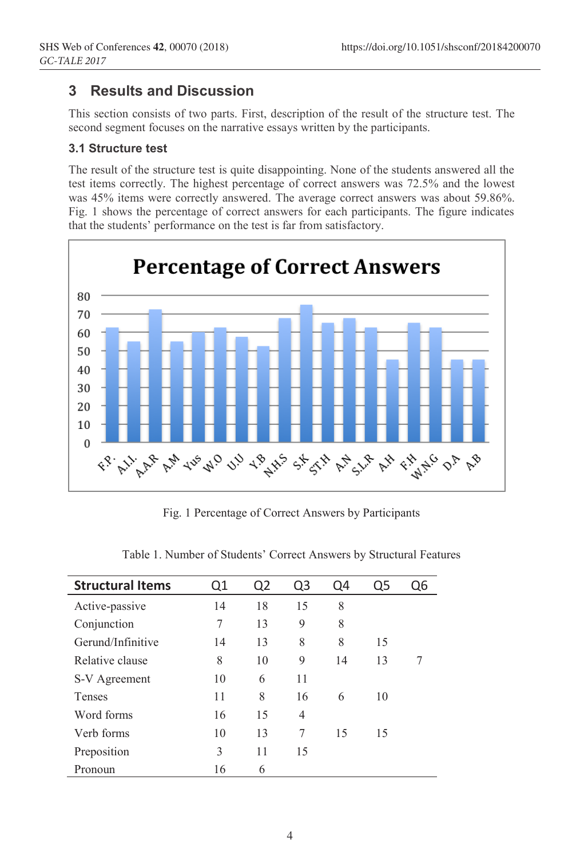# **3 Results and Discussion**

This section consists of two parts. First, description of the result of the structure test. The second segment focuses on the narrative essays written by the participants.

#### **3.1 Structure test**

The result of the structure test is quite disappointing. None of the students answered all the test items correctly. The highest percentage of correct answers was 72.5% and the lowest was 45% items were correctly answered. The average correct answers was about 59.86%. Fig. 1 shows the percentage of correct answers for each participants. The figure indicates that the students' performance on the test is far from satisfactory.



Fig. 1 Percentage of Correct Answers by Participants

| <b>Structural Items</b> | Q1 | Q <sub>2</sub> | Q3 | Q4 | Q5 | Q6 |
|-------------------------|----|----------------|----|----|----|----|
| Active-passive          | 14 | 18             | 15 | 8  |    |    |
| Conjunction             | 7  | 13             | 9  | 8  |    |    |
| Gerund/Infinitive       | 14 | 13             | 8  | 8  | 15 |    |
| Relative clause         | 8  | 10             | 9  | 14 | 13 |    |
| S-V Agreement           | 10 | 6              | 11 |    |    |    |
| <b>Tenses</b>           | 11 | 8              | 16 | 6  | 10 |    |
| Word forms              | 16 | 15             | 4  |    |    |    |
| Verb forms              | 10 | 13             | 7  | 15 | 15 |    |
| Preposition             | 3  | 11             | 15 |    |    |    |
| Pronoun                 | 16 | 6              |    |    |    |    |

|  | Table 1. Number of Students' Correct Answers by Structural Features |  |  |  |
|--|---------------------------------------------------------------------|--|--|--|
|  |                                                                     |  |  |  |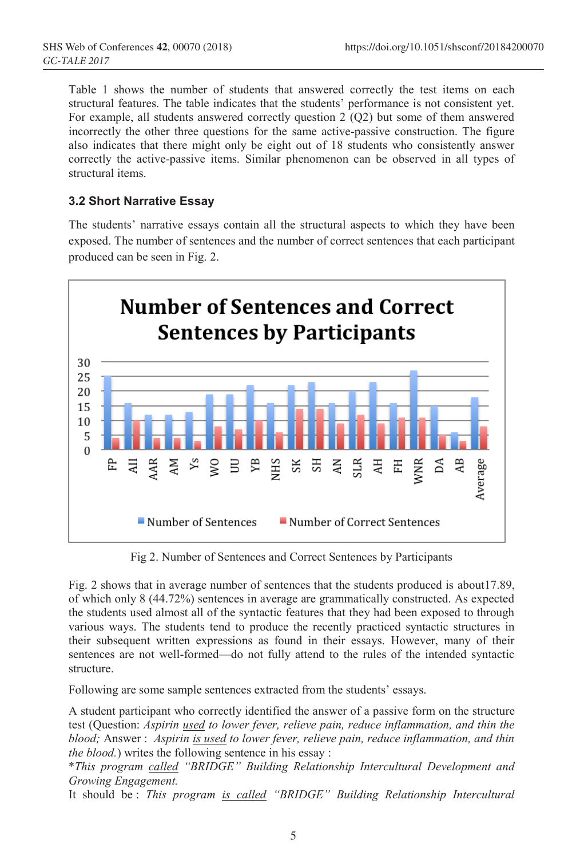Table 1 shows the number of students that answered correctly the test items on each structural features. The table indicates that the students' performance is not consistent yet. For example, all students answered correctly question 2 (Q2) but some of them answered incorrectly the other three questions for the same active-passive construction. The figure also indicates that there might only be eight out of 18 students who consistently answer correctly the active-passive items. Similar phenomenon can be observed in all types of structural items.

#### **3.2 Short Narrative Essay**

The students' narrative essays contain all the structural aspects to which they have been exposed. The number of sentences and the number of correct sentences that each participant produced can be seen in Fig. 2.



Fig 2. Number of Sentences and Correct Sentences by Participants

Fig. 2 shows that in average number of sentences that the students produced is about17.89, of which only 8 (44.72%) sentences in average are grammatically constructed. As expected the students used almost all of the syntactic features that they had been exposed to through various ways. The students tend to produce the recently practiced syntactic structures in their subsequent written expressions as found in their essays. However, many of their sentences are not well-formed—do not fully attend to the rules of the intended syntactic structure.

Following are some sample sentences extracted from the students' essays.

A student participant who correctly identified the answer of a passive form on the structure test (Question: *Aspirin used to lower fever, relieve pain, reduce inflammation, and thin the blood;* Answer : *Aspirin is used to lower fever, relieve pain, reduce inflammation, and thin the blood.*) writes the following sentence in his essay :

\**This program called "BRIDGE" Building Relationship Intercultural Development and Growing Engagement.*

It should be : *This program is called "BRIDGE" Building Relationship Intercultural*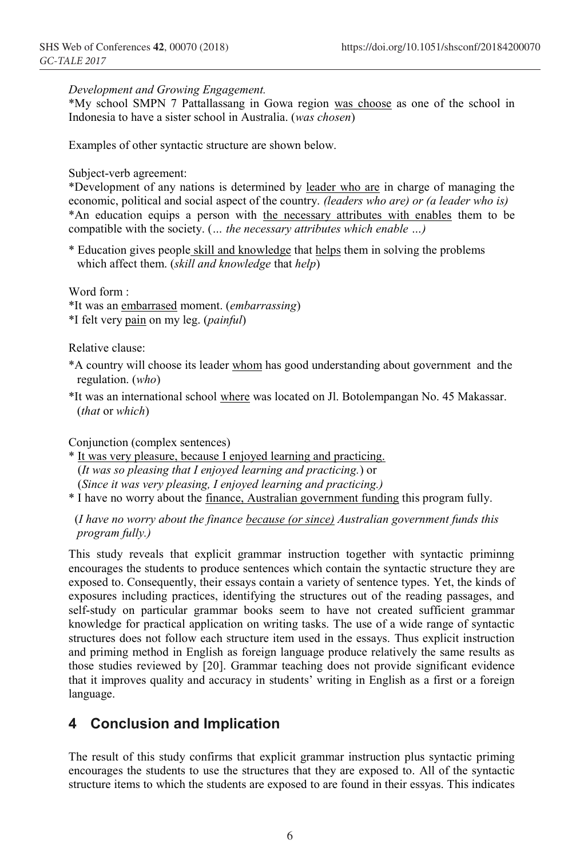#### *Development and Growing Engagement.*

\*My school SMPN 7 Pattallassang in Gowa region was choose as one of the school in Indonesia to have a sister school in Australia. (*was chosen*)

Examples of other syntactic structure are shown below.

Subject-verb agreement:

\*Development of any nations is determined by leader who are in charge of managing the economic, political and social aspect of the country. *(leaders who are) or (a leader who is)* \*An education equips a person with the necessary attributes with enables them to be compatible with the society. (*… the necessary attributes which enable …)*

\* Education gives people skill and knowledge that helps them in solving the problems which affect them. (*skill and knowledge* that *help*)

Word form : \*It was an embarrased moment. (*embarrassing*) \*I felt very pain on my leg. (*painful*)

Relative clause:

- \*A country will choose its leader whom has good understanding about government and the regulation. (*who*)
- \*It was an international school where was located on Jl. Botolempangan No. 45 Makassar. (*that* or *which*)

Conjunction (complex sentences)

\* It was very pleasure, because I enjoyed learning and practicing. (*It was so pleasing that I enjoyed learning and practicing.*) or (*Since it was very pleasing, I enjoyed learning and practicing.)*

\* I have no worry about the finance, Australian government funding this program fully.

 (*I have no worry about the finance because (or since) Australian government funds this program fully.)*

This study reveals that explicit grammar instruction together with syntactic priminng encourages the students to produce sentences which contain the syntactic structure they are exposed to. Consequently, their essays contain a variety of sentence types. Yet, the kinds of exposures including practices, identifying the structures out of the reading passages, and self-study on particular grammar books seem to have not created sufficient grammar knowledge for practical application on writing tasks. The use of a wide range of syntactic structures does not follow each structure item used in the essays. Thus explicit instruction and priming method in English as foreign language produce relatively the same results as those studies reviewed by [20]. Grammar teaching does not provide significant evidence that it improves quality and accuracy in students' writing in English as a first or a foreign language.

# **4 Conclusion and Implication**

The result of this study confirms that explicit grammar instruction plus syntactic priming encourages the students to use the structures that they are exposed to. All of the syntactic structure items to which the students are exposed to are found in their essyas. This indicates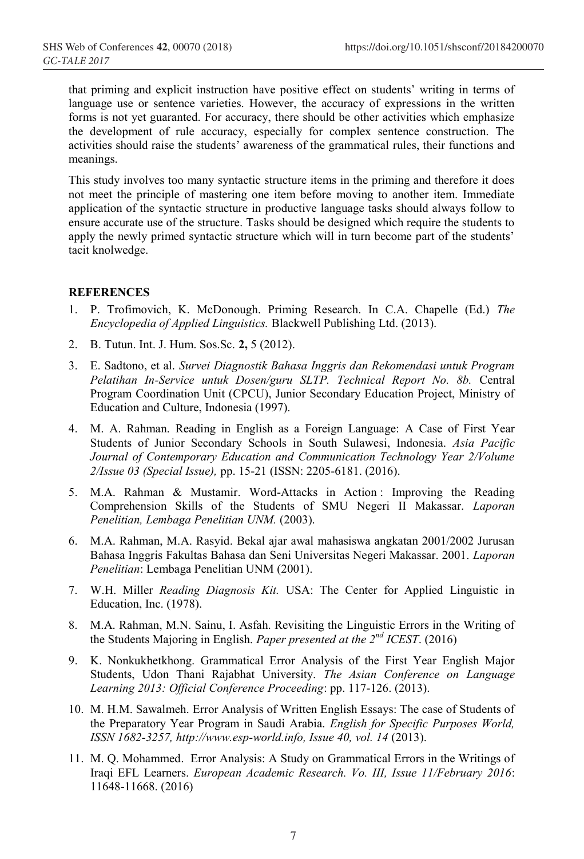that priming and explicit instruction have positive effect on students' writing in terms of language use or sentence varieties. However, the accuracy of expressions in the written forms is not yet guaranted. For accuracy, there should be other activities which emphasize the development of rule accuracy, especially for complex sentence construction. The activities should raise the students' awareness of the grammatical rules, their functions and meanings.

This study involves too many syntactic structure items in the priming and therefore it does not meet the principle of mastering one item before moving to another item. Immediate application of the syntactic structure in productive language tasks should always follow to ensure accurate use of the structure. Tasks should be designed which require the students to apply the newly primed syntactic structure which will in turn become part of the students' tacit knolwedge.

#### **REFERENCES**

- 1. P. Trofimovich, K. McDonough. Priming Research. In C.A. Chapelle (Ed.) *The Encyclopedia of Applied Linguistics.* Blackwell Publishing Ltd. (2013).
- 2. B. Tutun. Int. J. Hum. Sos.Sc. **2,** 5 (2012).
- 3. E. Sadtono, et al. *Survei Diagnostik Bahasa Inggris dan Rekomendasi untuk Program Pelatihan In-Service untuk Dosen/guru SLTP. Technical Report No. 8b.* Central Program Coordination Unit (CPCU), Junior Secondary Education Project, Ministry of Education and Culture, Indonesia (1997).
- 4. M. A. Rahman. Reading in English as a Foreign Language: A Case of First Year Students of Junior Secondary Schools in South Sulawesi, Indonesia. *Asia Pacific Journal of Contemporary Education and Communication Technology Year 2/Volume 2/Issue 03 (Special Issue),* pp. 15-21 (ISSN: 2205-6181. (2016).
- 5. M.A. Rahman & Mustamir. Word-Attacks in Action : Improving the Reading Comprehension Skills of the Students of SMU Negeri II Makassar. *Laporan Penelitian, Lembaga Penelitian UNM.* (2003).
- 6. M.A. Rahman, M.A. Rasyid. Bekal ajar awal mahasiswa angkatan 2001/2002 Jurusan Bahasa Inggris Fakultas Bahasa dan Seni Universitas Negeri Makassar. 2001. *Laporan Penelitian*: Lembaga Penelitian UNM (2001).
- 7. W.H. Miller *Reading Diagnosis Kit.* USA: The Center for Applied Linguistic in Education, Inc. (1978).
- 8. M.A. Rahman, M.N. Sainu, I. Asfah. Revisiting the Linguistic Errors in the Writing of the Students Majoring in English. *Paper presented at the 2nd ICEST*. (2016)
- 9. K. Nonkukhetkhong. Grammatical Error Analysis of the First Year English Major Students, Udon Thani Rajabhat University. *The Asian Conference on Language Learning 2013: Official Conference Proceeding*: pp. 117-126. (2013).
- 10. M. H.M. Sawalmeh. Error Analysis of Written English Essays: The case of Students of the Preparatory Year Program in Saudi Arabia. *English for Specific Purposes World, ISSN 1682-3257, http://www.esp-world.info, Issue 40, vol. 14* (2013).
- 11. M. Q. Mohammed. Error Analysis: A Study on Grammatical Errors in the Writings of Iraqi EFL Learners. *European Academic Research. Vo. III, Issue 11/February 2016*: 11648-11668. (2016)